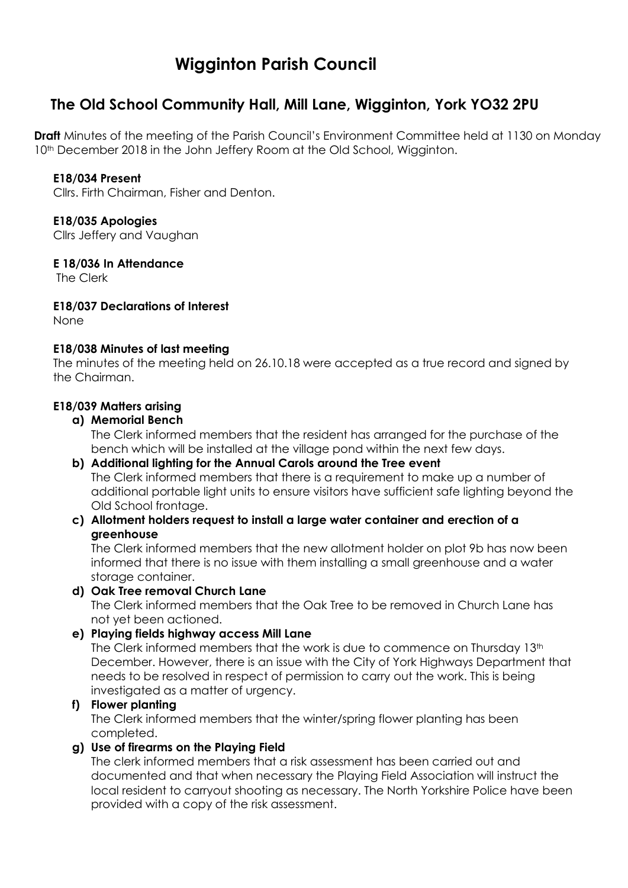# **Wigginton Parish Council**

# **The Old School Community Hall, Mill Lane, Wigginton, York YO32 2PU**

**Draft** Minutes of the meeting of the Parish Council's Environment Committee held at 1130 on Monday 10<sup>th</sup> December 2018 in the John Jeffery Room at the Old School, Wigginton.

# **E18/034 Present**

Cllrs. Firth Chairman, Fisher and Denton.

#### **E18/035 Apologies**

Cllrs Jeffery and Vaughan

# **E 18/036 In Attendance**

The Clerk

# **E18/037 Declarations of Interest**

None

# **E18/038 Minutes of last meeting**

The minutes of the meeting held on 26.10.18 were accepted as a true record and signed by the Chairman.

# **E18/039 Matters arising**

# **a) Memorial Bench**

The Clerk informed members that the resident has arranged for the purchase of the bench which will be installed at the village pond within the next few days.

- **b) Additional lighting for the Annual Carols around the Tree event** The Clerk informed members that there is a requirement to make up a number of additional portable light units to ensure visitors have sufficient safe lighting beyond the Old School frontage.
- **c) Allotment holders request to install a large water container and erection of a greenhouse**

The Clerk informed members that the new allotment holder on plot 9b has now been informed that there is no issue with them installing a small greenhouse and a water storage container.

#### **d) Oak Tree removal Church Lane**

The Clerk informed members that the Oak Tree to be removed in Church Lane has not yet been actioned.

**e) Playing fields highway access Mill Lane**

The Clerk informed members that the work is due to commence on Thursday  $13<sup>th</sup>$ December. However, there is an issue with the City of York Highways Department that needs to be resolved in respect of permission to carry out the work. This is being investigated as a matter of urgency.

#### **f) Flower planting**

The Clerk informed members that the winter/spring flower planting has been completed.

#### **g) Use of firearms on the Playing Field**

The clerk informed members that a risk assessment has been carried out and documented and that when necessary the Playing Field Association will instruct the local resident to carryout shooting as necessary. The North Yorkshire Police have been provided with a copy of the risk assessment.